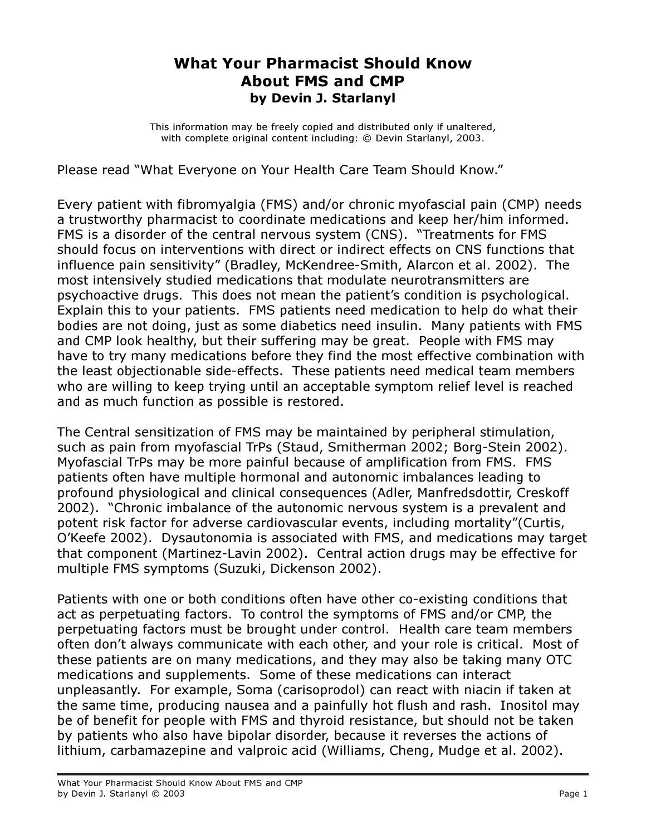## What Your Pharmacist Should Know About FMS and CMP by Devin J. Starlanyl

This information may be freely copied and distributed only if unaltered, with complete original content including: © Devin Starlanyl, 2003.

Please read "What Everyone on Your Health Care Team Should Know."

Every patient with fibromyalgia (FMS) and/or chronic myofascial pain (CMP) needs a trustworthy pharmacist to coordinate medications and keep her/him informed. FMS is a disorder of the central nervous system (CNS). "Treatments for FMS should focus on interventions with direct or indirect effects on CNS functions that influence pain sensitivity" (Bradley, McKendree-Smith, Alarcon et al. 2002). The most intensively studied medications that modulate neurotransmitters are psychoactive drugs. This does not mean the patient's condition is psychological. Explain this to your patients. FMS patients need medication to help do what their bodies are not doing, just as some diabetics need insulin. Many patients with FMS and CMP look healthy, but their suffering may be great. People with FMS may have to try many medications before they find the most effective combination with the least objectionable side-effects. These patients need medical team members who are willing to keep trying until an acceptable symptom relief level is reached and as much function as possible is restored.

The Central sensitization of FMS may be maintained by peripheral stimulation, such as pain from myofascial TrPs (Staud, Smitherman 2002; Borg-Stein 2002). Myofascial TrPs may be more painful because of amplification from FMS. FMS patients often have multiple hormonal and autonomic imbalances leading to profound physiological and clinical consequences (Adler, Manfredsdottir, Creskoff 2002). "Chronic imbalance of the autonomic nervous system is a prevalent and potent risk factor for adverse cardiovascular events, including mortality"(Curtis, O'Keefe 2002). Dysautonomia is associated with FMS, and medications may target that component (Martinez-Lavin 2002). Central action drugs may be effective for multiple FMS symptoms (Suzuki, Dickenson 2002).

Patients with one or both conditions often have other co-existing conditions that act as perpetuating factors. To control the symptoms of FMS and/or CMP, the perpetuating factors must be brought under control. Health care team members often don't always communicate with each other, and your role is critical. Most of these patients are on many medications, and they may also be taking many OTC medications and supplements. Some of these medications can interact unpleasantly. For example, Soma (carisoprodol) can react with niacin if taken at the same time, producing nausea and a painfully hot flush and rash. Inositol may be of benefit for people with FMS and thyroid resistance, but should not be taken by patients who also have bipolar disorder, because it reverses the actions of lithium, carbamazepine and valproic acid (Williams, Cheng, Mudge et al. 2002).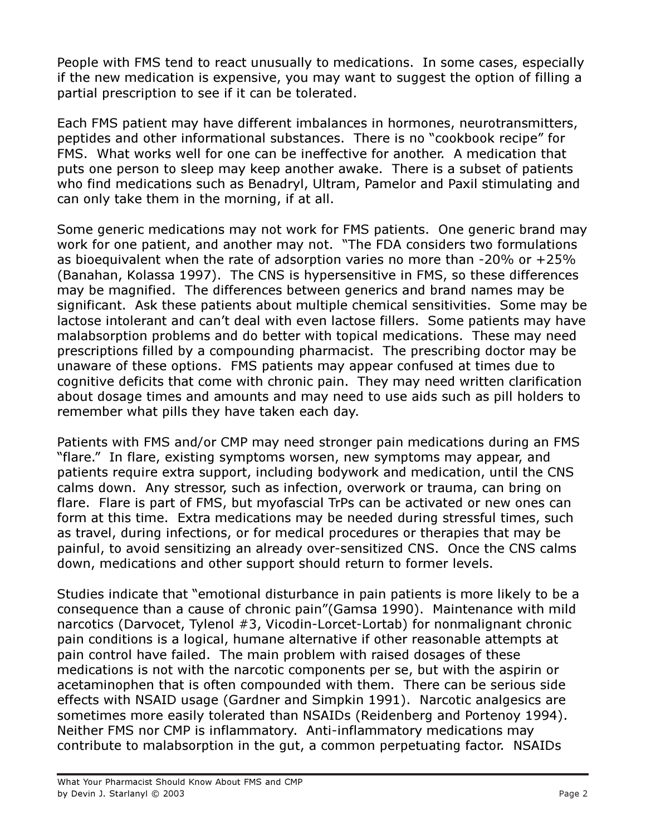People with FMS tend to react unusually to medications. In some cases, especially if the new medication is expensive, you may want to suggest the option of filling a partial prescription to see if it can be tolerated.

Each FMS patient may have different imbalances in hormones, neurotransmitters, peptides and other informational substances. There is no "cookbook recipe" for FMS. What works well for one can be ineffective for another. A medication that puts one person to sleep may keep another awake. There is a subset of patients who find medications such as Benadryl, Ultram, Pamelor and Paxil stimulating and can only take them in the morning, if at all.

Some generic medications may not work for FMS patients. One generic brand may work for one patient, and another may not. "The FDA considers two formulations as bioequivalent when the rate of adsorption varies no more than -20% or +25% (Banahan, Kolassa 1997). The CNS is hypersensitive in FMS, so these differences may be magnified. The differences between generics and brand names may be significant. Ask these patients about multiple chemical sensitivities. Some may be lactose intolerant and can't deal with even lactose fillers. Some patients may have malabsorption problems and do better with topical medications. These may need prescriptions filled by a compounding pharmacist. The prescribing doctor may be unaware of these options. FMS patients may appear confused at times due to cognitive deficits that come with chronic pain. They may need written clarification about dosage times and amounts and may need to use aids such as pill holders to remember what pills they have taken each day.

Patients with FMS and/or CMP may need stronger pain medications during an FMS "flare." In flare, existing symptoms worsen, new symptoms may appear, and patients require extra support, including bodywork and medication, until the CNS calms down. Any stressor, such as infection, overwork or trauma, can bring on flare. Flare is part of FMS, but myofascial TrPs can be activated or new ones can form at this time. Extra medications may be needed during stressful times, such as travel, during infections, or for medical procedures or therapies that may be painful, to avoid sensitizing an already over-sensitized CNS. Once the CNS calms down, medications and other support should return to former levels.

Studies indicate that "emotional disturbance in pain patients is more likely to be a consequence than a cause of chronic pain"(Gamsa 1990). Maintenance with mild narcotics (Darvocet, Tylenol #3, Vicodin-Lorcet-Lortab) for nonmalignant chronic pain conditions is a logical, humane alternative if other reasonable attempts at pain control have failed. The main problem with raised dosages of these medications is not with the narcotic components per se, but with the aspirin or acetaminophen that is often compounded with them. There can be serious side effects with NSAID usage (Gardner and Simpkin 1991). Narcotic analgesics are sometimes more easily tolerated than NSAIDs (Reidenberg and Portenoy 1994). Neither FMS nor CMP is inflammatory. Anti-inflammatory medications may contribute to malabsorption in the gut, a common perpetuating factor. NSAIDs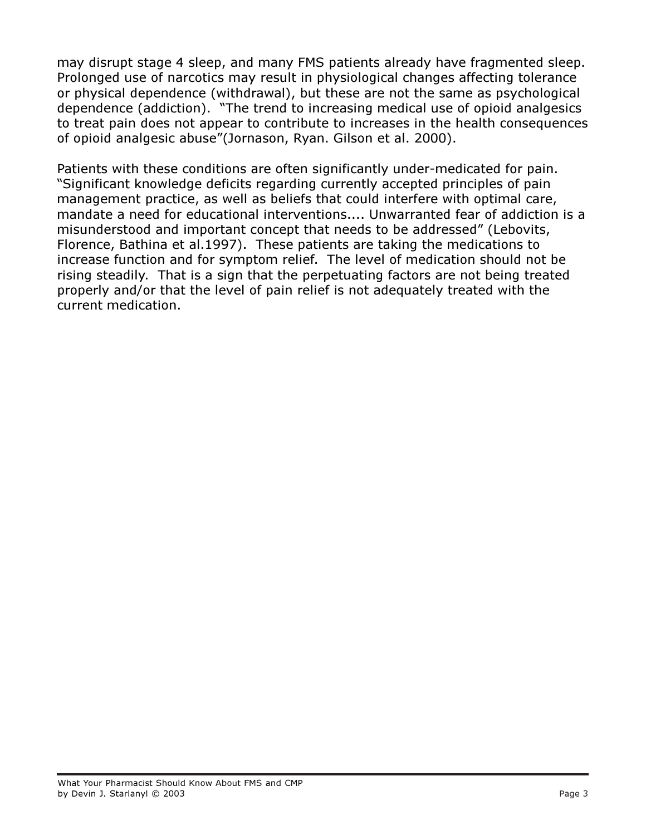may disrupt stage 4 sleep, and many FMS patients already have fragmented sleep. Prolonged use of narcotics may result in physiological changes affecting tolerance or physical dependence (withdrawal), but these are not the same as psychological dependence (addiction). "The trend to increasing medical use of opioid analgesics to treat pain does not appear to contribute to increases in the health consequences of opioid analgesic abuse"(Jornason, Ryan. Gilson et al. 2000).

Patients with these conditions are often significantly under-medicated for pain. "Significant knowledge deficits regarding currently accepted principles of pain management practice, as well as beliefs that could interfere with optimal care, mandate a need for educational interventions.... Unwarranted fear of addiction is a misunderstood and important concept that needs to be addressed" (Lebovits, Florence, Bathina et al.1997). These patients are taking the medications to increase function and for symptom relief. The level of medication should not be rising steadily. That is a sign that the perpetuating factors are not being treated properly and/or that the level of pain relief is not adequately treated with the current medication.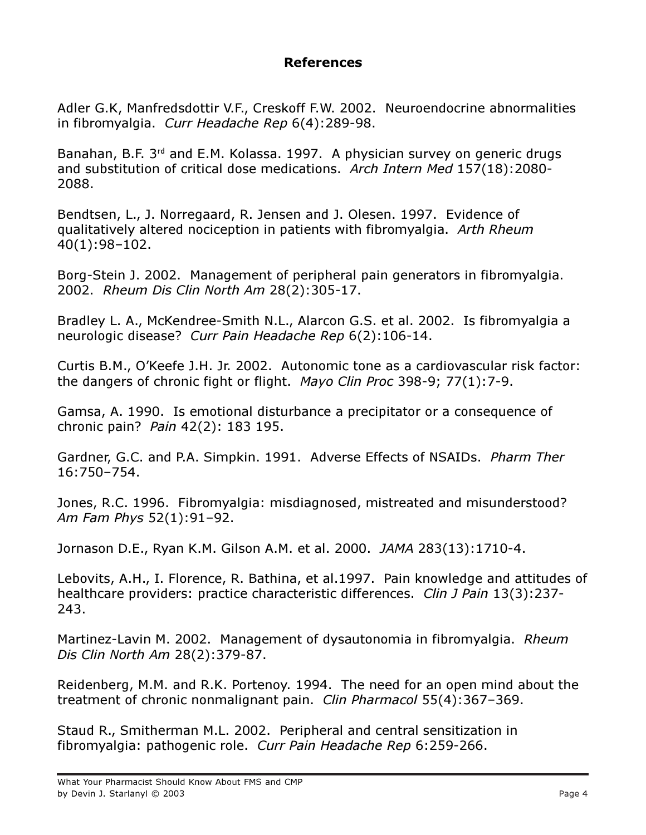## References

Adler G.K, Manfredsdottir V.F., Creskoff F.W. 2002. Neuroendocrine abnormalities in fibromyalgia. Curr Headache Rep 6(4):289-98.

Banahan, B.F. 3<sup>rd</sup> and E.M. Kolassa. 1997. A physician survey on generic drugs and substitution of critical dose medications. Arch Intern Med 157(18):2080- 2088.

Bendtsen, L., J. Norregaard, R. Jensen and J. Olesen. 1997. Evidence of qualitatively altered nociception in patients with fibromyalgia. Arth Rheum 40(1):98–102.

Borg-Stein J. 2002. Management of peripheral pain generators in fibromyalgia. 2002. Rheum Dis Clin North Am 28(2):305-17.

Bradley L. A., McKendree-Smith N.L., Alarcon G.S. et al. 2002. Is fibromyalgia a neurologic disease? Curr Pain Headache Rep 6(2):106-14.

Curtis B.M., O'Keefe J.H. Jr. 2002. Autonomic tone as a cardiovascular risk factor: the dangers of chronic fight or flight. Mayo Clin Proc 398-9; 77(1):7-9.

Gamsa, A. 1990. Is emotional disturbance a precipitator or a consequence of chronic pain? Pain 42(2): 183 195.

Gardner, G.C. and P.A. Simpkin. 1991. Adverse Effects of NSAIDs. Pharm Ther 16:750–754.

Jones, R.C. 1996. Fibromyalgia: misdiagnosed, mistreated and misunderstood? Am Fam Phys 52(1):91–92.

Jornason D.E., Ryan K.M. Gilson A.M. et al. 2000. JAMA 283(13):1710-4.

Lebovits, A.H., I. Florence, R. Bathina, et al.1997. Pain knowledge and attitudes of healthcare providers: practice characteristic differences. Clin J Pain 13(3):237-243.

Martinez-Lavin M. 2002. Management of dysautonomia in fibromyalgia. Rheum Dis Clin North Am 28(2):379-87.

Reidenberg, M.M. and R.K. Portenoy. 1994. The need for an open mind about the treatment of chronic nonmalignant pain. Clin Pharmacol 55(4):367–369.

Staud R., Smitherman M.L. 2002. Peripheral and central sensitization in fibromyalgia: pathogenic role. Curr Pain Headache Rep 6:259-266.